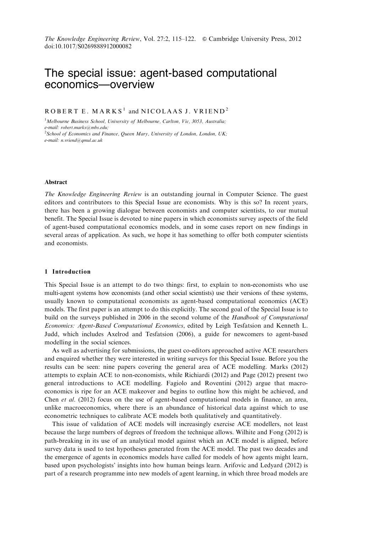# The special issue: agent-based computational economics—overview

 $ROBERT E. MARKS<sup>1</sup>$  and NICOLAAS J. VRIEND<sup>2</sup>

<sup>1</sup>Melbourne Business School, University of Melbourne, Carlton, Vic, 3053, Australia; e-mail: robert.marks@mbs.edu;  $2$ School of Economics and Finance, Queen Mary, University of London, London, UK;

#### Abstract

e-mail: n.vriend@qmul.ac.uk

The Knowledge Engineering Review is an outstanding journal in Computer Science. The guest editors and contributors to this Special Issue are economists. Why is this so? In recent years, there has been a growing dialogue between economists and computer scientists, to our mutual benefit. The Special Issue is devoted to nine papers in which economists survey aspects of the field of agent-based computational economics models, and in some cases report on new findings in several areas of application. As such, we hope it has something to offer both computer scientists and economists.

## 1 Introduction

This Special Issue is an attempt to do two things: first, to explain to non-economists who use multi-agent systems how economists (and other social scientists) use their versions of these systems, usually known to computational economists as agent-based computational economics (ACE) models. The first paper is an attempt to do this explicitly. The second goal of the Special Issue is to build on the surveys published in 2006 in the second volume of the Handbook of Computational Economics: Agent-Based Computational Economics, edited by Leigh Tesfatsion and Kenneth L. Judd, which includes Axelrod and Tesfatsion (2006), a guide for newcomers to agent-based modelling in the social sciences.

As well as advertising for submissions, the guest co-editors approached active ACE researchers and enquired whether they were interested in writing surveys for this Special Issue. Before you the results can be seen: nine papers covering the general area of ACE modelling. Marks (2012) attempts to explain ACE to non-economists, while Richiardi (2012) and Page (2012) present two general introductions to ACE modelling. Fagiolo and Roventini (2012) argue that macroeconomics is ripe for an ACE makeover and begins to outline how this might be achieved, and Chen et al. (2012) focus on the use of agent-based computational models in finance, an area, unlike macroeconomics, where there is an abundance of historical data against which to use econometric techniques to calibrate ACE models both qualitatively and quantitatively.

This issue of validation of ACE models will increasingly exercise ACE modellers, not least because the large numbers of degrees of freedom the technique allows. Wilhite and Fong (2012) is path-breaking in its use of an analytical model against which an ACE model is aligned, before survey data is used to test hypotheses generated from the ACE model. The past two decades and the emergence of agents in economics models have called for models of how agents might learn, based upon psychologists' insights into how human beings learn. Arifovic and Ledyard (2012) is part of a research programme into new models of agent learning, in which three broad models are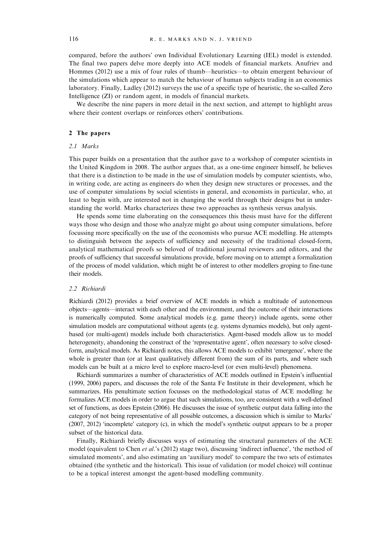compared, before the authors' own Individual Evolutionary Learning (IEL) model is extended. The final two papers delve more deeply into ACE models of financial markets. Anufriev and Hommes (2012) use a mix of four rules of thumb––heuristics––to obtain emergent behaviour of the simulations which appear to match the behaviour of human subjects trading in an economics laboratory. Finally, Ladley (2012) surveys the use of a specific type of heuristic, the so-called Zero Intelligence (ZI) or random agent, in models of financial markets.

We describe the nine papers in more detail in the next section, and attempt to highlight areas where their content overlaps or reinforces others' contributions.

#### 2 The papers

#### 2.1 Marks

This paper builds on a presentation that the author gave to a workshop of computer scientists in the United Kingdom in 2008. The author argues that, as a one-time engineer himself, he believes that there is a distinction to be made in the use of simulation models by computer scientists, who, in writing code, are acting as engineers do when they design new structures or processes, and the use of computer simulations by social scientists in general, and economists in particular, who, at least to begin with, are interested not in changing the world through their designs but in understanding the world. Marks characterizes these two approaches as synthesis versus analysis.

He spends some time elaborating on the consequences this thesis must have for the different ways those who design and those who analyze might go about using computer simulations, before focussing more specifically on the use of the economists who pursue ACE modelling. He attempts to distinguish between the aspects of sufficiency and necessity of the traditional closed-form, analytical mathematical proofs so beloved of traditional journal reviewers and editors, and the proofs of sufficiency that successful simulations provide, before moving on to attempt a formalization of the process of model validation, which might be of interest to other modellers groping to fine-tune their models.

#### 2.2 Richiardi

Richiardi (2012) provides a brief overview of ACE models in which a multitude of autonomous objects––agents––interact with each other and the environment, and the outcome of their interactions is numerically computed. Some analytical models (e.g. game theory) include agents, some other simulation models are computational without agents (e.g. systems dynamics models), but only agentbased (or multi-agent) models include both characteristics. Agent-based models allow us to model heterogeneity, abandoning the construct of the 'representative agent', often necessary to solve closedform, analytical models. As Richiardi notes, this allows ACE models to exhibit 'emergence', where the whole is greater than (or at least qualitatively different from) the sum of its parts, and where such models can be built at a micro level to explore macro-level (or even multi-level) phenomena.

Richiardi summarizes a number of characteristics of ACE models outlined in Epstein's influential (1999, 2006) papers, and discusses the role of the Santa Fe Institute in their development, which he summarizes. His penultimate section focusses on the methodological status of ACE modelling: he formalizes ACE models in order to argue that such simulations, too, are consistent with a well-defined set of functions, as does Epstein (2006). He discusses the issue of synthetic output data falling into the category of not being representative of all possible outcomes, a discussion which is similar to Marks' (2007, 2012) 'incomplete' category (c), in which the model's synthetic output appears to be a proper subset of the historical data.

Finally, Richiardi briefly discusses ways of estimating the structural parameters of the ACE model (equivalent to Chen *et al.*'s (2012) stage two), discussing 'indirect influence', 'the method of simulated moments', and also estimating an 'auxiliary model' to compare the two sets of estimates obtained (the synthetic and the historical). This issue of validation (or model choice) will continue to be a topical interest amongst the agent-based modelling community.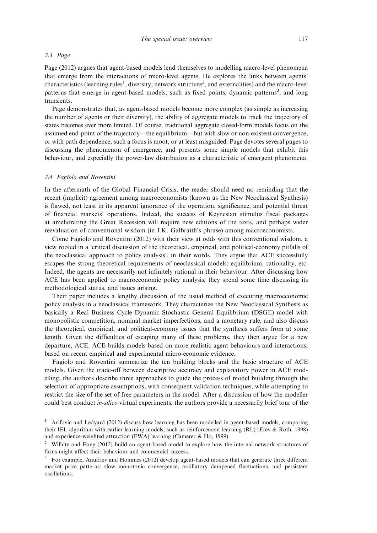### 2.3 Page

Page (2012) argues that agent-based models lend themselves to modelling macro-level phenomena that emerge from the interactions of micro-level agents. He explores the links between agents' characteristics (learning rules<sup>1</sup>, diversity, network structure<sup>2</sup>, and externalities) and the macro-level patterns that emerge in agent-based models, such as fixed points, dynamic patterns<sup>3</sup>, and long transients.

Page demonstrates that, as agent-based models become more complex (as simple as increasing the number of agents or their diversity), the ability of aggregate models to track the trajectory of states becomes ever more limited. Of course, traditional aggregate closed-form models focus on the assumed end-point of the trajectory—the equilibrium––but with slow or non-existent convergence, or with path dependence, such a focus is moot, or at least misguided. Page devotes several pages to discussing the phenomenon of emergence, and presents some simple models that exhibit this behaviour, and especially the power-law distribution as a characteristic of emergent phenomena.

#### 2.4 Fagiolo and Roventini

In the aftermath of the Global Financial Crisis, the reader should need no reminding that the recent (implicit) agreement among macroeconomists (known as the New Neoclassical Synthesis) is flawed, not least in its apparent ignorance of the operation, significance, and potential threat of financial markets' operations. Indeed, the success of Keynesian stimulus fiscal packages at ameliorating the Great Recession will require new editions of the texts, and perhaps wider reevaluation of conventional wisdom (in J.K. Galbraith's phrase) among macroeconomists.

Come Fagiolo and Roventini (2012) with their view at odds with this conventional wisdom, a view rooted in a 'critical discussion of the theoretical, empirical, and political-economy pitfalls of the neoclassical approach to policy analysis', in their words. They argue that ACE successfully escapes the strong theoretical requirements of neoclassical models: equilibrium, rationality, etc. Indeed, the agents are necessarily not infinitely rational in their behaviour. After discussing how ACE has been applied to macroeconomic policy analysis, they spend some time discussing its methodological status, and issues arising.

Their paper includes a lengthy discussion of the usual method of executing macroeconomic policy analysis in a neoclassical framework. They characterize the New Neoclassical Synthesis as basically a Real Business Cycle Dynamic Stochastic General Equilibrium (DSGE) model with monopolistic competition, nominal market imperfections, and a monetary rule, and also discuss the theoretical, empirical, and political-economy issues that the synthesis suffers from at some length. Given the difficulties of escaping many of these problems, they then argue for a new departure, ACE. ACE builds models based on more realistic agent behaviours and interactions, based on recent empirical and experimental micro-economic evidence.

Fagiolo and Roventini summarize the ten building blocks and the basic structure of ACE models. Given the trade-off between descriptive accuracy and explanatory power in ACE modelling, the authors describe three approaches to guide the process of model building through the selection of appropriate assumptions, with consequent validation techniques, while attempting to restrict the size of the set of free parameters in the model. After a discussion of how the modeller could best conduct in-silico virtual experiments, the authors provide a necessarily brief tour of the

<sup>&</sup>lt;sup>1</sup> Arifovic and Ledyard (2012) discuss how learning has been modelled in agent-based models, comparing their IEL algorithm with earlier learning models, such as reinforcement learning (RL) (Erev & Roth, 1998) and experience-weighted attraction (EWA) learning (Camerer & Ho, 1999).

<sup>&</sup>lt;sup>2</sup> Wilhite and Fong (2012) build an agent-based model to explore how the internal network structures of firms might affect their behaviour and commercial success.

<sup>&</sup>lt;sup>3</sup> For example, Anufriev and Hommes (2012) develop agent-based models that can generate three different market price patterns: slow monotonic convergence, oscillatory dampened fluctuations, and persistent oscillations.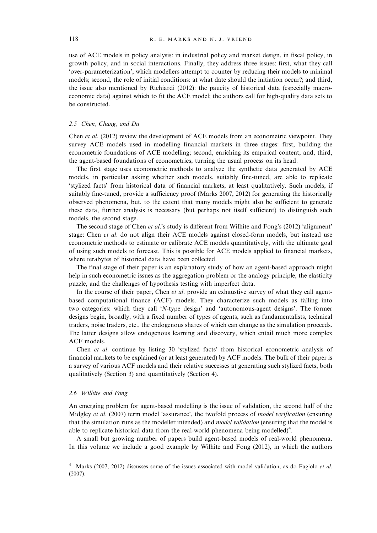use of ACE models in policy analysis: in industrial policy and market design, in fiscal policy, in growth policy, and in social interactions. Finally, they address three issues: first, what they call 'over-parameterization', which modellers attempt to counter by reducing their models to minimal models; second, the role of initial conditions: at what date should the initiation occur?; and third, the issue also mentioned by Richiardi (2012): the paucity of historical data (especially macroeconomic data) against which to fit the ACE model; the authors call for high-quality data sets to be constructed.

#### 2.5 Chen, Chang, and Du

Chen et al. (2012) review the development of ACE models from an econometric viewpoint. They survey ACE models used in modelling financial markets in three stages: first, building the econometric foundations of ACE modelling; second, enriching its empirical content; and, third, the agent-based foundations of econometrics, turning the usual process on its head.

The first stage uses econometric methods to analyze the synthetic data generated by ACE models, in particular asking whether such models, suitably fine-tuned, are able to replicate 'stylized facts' from historical data of financial markets, at least qualitatively. Such models, if suitably fine-tuned, provide a sufficiency proof (Marks 2007, 2012) for generating the historically observed phenomena, but, to the extent that many models might also be sufficient to generate these data, further analysis is necessary (but perhaps not itself sufficient) to distinguish such models, the second stage.

The second stage of Chen et al.'s study is different from Wilhite and Fong's (2012) 'alignment' stage: Chen et al. do not align their ACE models against closed-form models, but instead use econometric methods to estimate or calibrate ACE models quantitatively, with the ultimate goal of using such models to forecast. This is possible for ACE models applied to financial markets, where terabytes of historical data have been collected.

The final stage of their paper is an explanatory study of how an agent-based approach might help in such econometric issues as the aggregation problem or the analogy principle, the elasticity puzzle, and the challenges of hypothesis testing with imperfect data.

In the course of their paper, Chen et al. provide an exhaustive survey of what they call agentbased computational finance (ACF) models. They characterize such models as falling into two categories: which they call 'N-type design' and 'autonomous-agent designs'. The former designs begin, broadly, with a fixed number of types of agents, such as fundamentalists, technical traders, noise traders, etc., the endogenous shares of which can change as the simulation proceeds. The latter designs allow endogenous learning and discovery, which entail much more complex ACF models.

Chen et al. continue by listing 30 'stylized facts' from historical econometric analysis of financial markets to be explained (or at least generated) by ACF models. The bulk of their paper is a survey of various ACF models and their relative successes at generating such stylized facts, both qualitatively (Section 3) and quantitatively (Section 4).

#### 2.6 Wilhite and Fong

An emerging problem for agent-based modelling is the issue of validation, the second half of the Midgley et al. (2007) term model 'assurance', the twofold process of *model verification* (ensuring that the simulation runs as the modeller intended) and *model validation* (ensuring that the model is able to replicate historical data from the real-world phenomena being modelled)<sup>4</sup>.

A small but growing number of papers build agent-based models of real-world phenomena. In this volume we include a good example by Wilhite and Fong (2012), in which the authors

<sup>&</sup>lt;sup>4</sup> Marks (2007, 2012) discusses some of the issues associated with model validation, as do Fagiolo et al. (2007).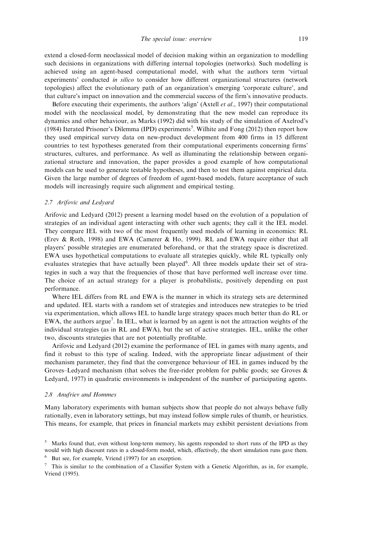extend a closed-form neoclassical model of decision making within an organization to modelling such decisions in organizations with differing internal topologies (networks). Such modelling is achieved using an agent-based computational model, with what the authors term 'virtual experiments' conducted in silico to consider how different organizational structures (network topologies) affect the evolutionary path of an organization's emerging 'corporate culture', and that culture's impact on innovation and the commercial success of the firm's innovative products.

Before executing their experiments, the authors 'align' (Axtell et al., 1997) their computational model with the neoclassical model, by demonstrating that the new model can reproduce its dynamics and other behaviour, as Marks (1992) did with his study of the simulation of Axelrod's (1984) Iterated Prisoner's Dilemma (IPD) experiments<sup>5</sup>. Wilhite and Fong (2012) then report how they used empirical survey data on new-product development from 400 firms in 15 different countries to test hypotheses generated from their computational experiments concerning firms' structures, cultures, and performance. As well as illuminating the relationship between organizational structure and innovation, the paper provides a good example of how computational models can be used to generate testable hypotheses, and then to test them against empirical data. Given the large number of degrees of freedom of agent-based models, future acceptance of such models will increasingly require such alignment and empirical testing.

## 2.7 Arifovic and Ledyard

Arifovic and Ledyard (2012) present a learning model based on the evolution of a population of strategies of an individual agent interacting with other such agents; they call it the IEL model. They compare IEL with two of the most frequently used models of learning in economics: RL (Erev & Roth, 1998) and EWA (Camerer & Ho, 1999). RL and EWA require either that all players' possible strategies are enumerated beforehand, or that the strategy space is discretized. EWA uses hypothetical computations to evaluate all strategies quickly, while RL typically only evaluates strategies that have actually been played<sup>6</sup>. All three models update their set of strategies in such a way that the frequencies of those that have performed well increase over time. The choice of an actual strategy for a player is probabilistic, positively depending on past performance.

Where IEL differs from RL and EWA is the manner in which its strategy sets are determined and updated. IEL starts with a random set of strategies and introduces new strategies to be tried via experimentation, which allows IEL to handle large strategy spaces much better than do RL or EWA, the authors argue<sup>7</sup>. In IEL, what is learned by an agent is not the attraction weights of the individual strategies (as in RL and EWA), but the set of active strategies. IEL, unlike the other two, discounts strategies that are not potentially profitable.

Arifovic and Ledyard (2012) examine the performance of IEL in games with many agents, and find it robust to this type of scaling. Indeed, with the appropriate linear adjustment of their mechanism parameter, they find that the convergence behaviour of IEL in games induced by the Groves–Ledyard mechanism (that solves the free-rider problem for public goods; see Groves & Ledyard, 1977) in quadratic environments is independent of the number of participating agents.

#### 2.8 Anufriev and Hommes

Many laboratory experiments with human subjects show that people do not always behave fully rationally, even in laboratory settings, but may instead follow simple rules of thumb, or heuristics. This means, for example, that prices in financial markets may exhibit persistent deviations from

<sup>6</sup> But see, for example, Vriend (1997) for an exception.

<sup>&</sup>lt;sup>5</sup> Marks found that, even without long-term memory, his agents responded to short runs of the IPD as they would with high discount rates in a closed-form model, which, effectively, the short simulation runs gave them.

<sup>7</sup> This is similar to the combination of a Classifier System with a Genetic Algorithm, as in, for example, Vriend (1995).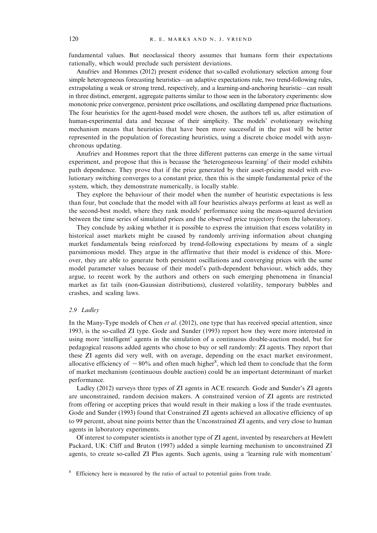fundamental values. But neoclassical theory assumes that humans form their expectations rationally, which would preclude such persistent deviations.

Anufriev and Hommes (2012) present evidence that so-called evolutionary selection among four simple heterogeneous forecasting heuristics––an adaptive expectations rule, two trend-following rules, extrapolating a weak or strong trend, respectively, and a learning-and-anchoring heuristic––can result in three distinct, emergent, aggregate patterns similar to those seen in the laboratory experiments: slow monotonic price convergence, persistent price oscillations, and oscillating dampened price fluctuations. The four heuristics for the agent-based model were chosen, the authors tell us, after estimation of human-experimental data and because of their simplicity. The models' evolutionary switching mechanism means that heuristics that have been more successful in the past will be better represented in the population of forecasting heuristics, using a discrete choice model with asynchronous updating.

Anufriev and Hommes report that the three different patterns can emerge in the same virtual experiment, and propose that this is because the 'heterogeneous learning' of their model exhibits path dependence. They prove that if the price generated by their asset-pricing model with evolutionary switching converges to a constant price, then this is the simple fundamental price of the system, which, they demonstrate numerically, is locally stable.

They explore the behaviour of their model when the number of heuristic expectations is less than four, but conclude that the model with all four heuristics always performs at least as well as the second-best model, where they rank models' performance using the mean-squared deviation between the time series of simulated prices and the observed price trajectory from the laboratory.

They conclude by asking whether it is possible to express the intuition that excess volatility in historical asset markets might be caused by randomly arriving information about changing market fundamentals being reinforced by trend-following expectations by means of a single parsimonious model. They argue in the affirmative that their model is evidence of this. Moreover, they are able to generate both persistent oscillations and converging prices with the same model parameter values because of their model's path-dependent behaviour, which adds, they argue, to recent work by the authors and others on such emerging phenomena in financial market as fat tails (non-Gaussian distributions), clustered volatility, temporary bubbles and crashes, and scaling laws.

#### 2.9 Ladley

In the Many-Type models of Chen *et al.* (2012), one type that has received special attention, since 1993, is the so-called ZI type. Gode and Sunder (1993) report how they were more interested in using more 'intelligent' agents in the simulation of a continuous double-auction model, but for pedagogical reasons added agents who chose to buy or sell randomly: ZI agents. They report that these ZI agents did very well, with on average, depending on the exact market environment, allocative efficiency of  $\sim 80\%$  and often much higher<sup>8</sup>, which led them to conclude that the form of market mechanism (continuous double auction) could be an important determinant of market performance.

Ladley (2012) surveys three types of ZI agents in ACE research. Gode and Sunder's ZI agents are unconstrained, random decision makers. A constrained version of ZI agents are restricted from offering or accepting prices that would result in their making a loss if the trade eventuates. Gode and Sunder (1993) found that Constrained ZI agents achieved an allocative efficiency of up to 99 percent, about nine points better than the Unconstrained ZI agents, and very close to human agents in laboratory experiments.

Of interest to computer scientists is another type of ZI agent, invented by researchers at Hewlett Packard, UK: Cliff and Bruton (1997) added a simple learning mechanism to unconstrained ZI agents, to create so-called ZI Plus agents. Such agents, using a 'learning rule with momentum'

<sup>8</sup> Efficiency here is measured by the ratio of actual to potential gains from trade.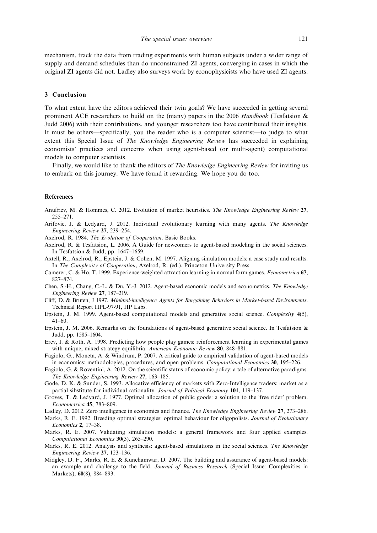mechanism, track the data from trading experiments with human subjects under a wider range of supply and demand schedules than do unconstrained ZI agents, converging in cases in which the original ZI agents did not. Ladley also surveys work by econophysicists who have used ZI agents.

# 3 Conclusion

To what extent have the editors achieved their twin goals? We have succeeded in getting several prominent ACE researchers to build on the (many) papers in the 2006 Handbook (Tesfatsion  $\&$ Judd 2006) with their contributions, and younger researchers too have contributed their insights. It must be others—specifically, you the reader who is a computer scientist—to judge to what extent this Special Issue of The Knowledge Engineering Review has succeeded in explaining economists' practices and concerns when using agent-based (or multi-agent) computational models to computer scientists.

Finally, we would like to thank the editors of *The Knowledge Engineering Review* for inviting us to embark on this journey. We have found it rewarding. We hope you do too.

#### References

- Anufriev, M. & Hommes, C. 2012. Evolution of market heuristics. The Knowledge Engineering Review 27, 255–271.
- Arifovic, J. & Ledyard, J. 2012. Individual evolutionary learning with many agents. The Knowledge Engineering Review 27, 239–254.
- Axelrod, R. 1984. The Evolution of Cooperation. Basic Books.
- Axelrod, R. & Tesfatsion, L. 2006. A Guide for newcomers to agent-based modeling in the social sciences. In Tesfatsion & Judd, pp. 1647–1659.
- Axtell, R., Axelrod, R., Epstein, J. & Cohen, M. 1997. Aligning simulation models: a case study and results. In The Complexity of Cooperation, Axelrod, R. (ed.). Princeton University Press.
- Camerer, C. & Ho, T. 1999. Experience-weighted attraction learning in normal form games. Econometrica 67, 827–874.
- Chen, S.-H., Chang, C.-L. & Du, Y.-J. 2012. Agent-based economic models and econometrics. The Knowledge Engineering Review 27, 187–219.
- Cliff, D. & Bruten, J 1997. Minimal-intelligence Agents for Bargaining Behaviors in Market-based Environments. Technical Report HPL-97-91, HP Labs.
- Epstein, J. M. 1999. Agent-based computational models and generative social science. Complexity 4(5), 41–60.
- Epstein, J. M. 2006. Remarks on the foundations of agent-based generative social science. In Tesfatsion & Judd, pp. 1585–1604.
- Erev, I. & Roth, A. 1998. Predicting how people play games: reinforcement learning in experimental games with unique, mixed strategy equilibria. American Economic Review 80, 848–881.
- Fagiolo, G., Moneta, A. & Windrum, P. 2007. A critical guide to empirical validation of agent-based models in economics: methodologies, procedures, and open problems. Computational Economics 30, 195-226.
- Fagiolo, G. & Roventini, A. 2012. On the scientific status of economic policy: a tale of alternative paradigms. The Knowledge Engineering Review 27, 163–185.
- Gode, D. K. & Sunder, S. 1993. Allocative efficiency of markets with Zero-Intelligence traders: market as a partial sibstitute for individual rationality. Journal of Political Economy 101, 119–137.
- Groves, T. & Ledyard, J. 1977. Optimal allocation of public goods: a solution to the 'free rider' problem. Econometrica 45, 783–809.
- Ladley, D. 2012. Zero intelligence in economics and finance. The Knowledge Engineering Review 27, 273–286.
- Marks, R. E. 1992. Breeding optimal strategies: optimal behaviour for oligopolists. Journal of Evolutionary Economics 2, 17–38.
- Marks, R. E. 2007. Validating simulation models: a general framework and four applied examples. Computational Economics 30(3), 265–290.
- Marks, R. E. 2012. Analysis and synthesis: agent-based simulations in the social sciences. The Knowledge Engineering Review 27, 123–136.
- Midgley, D. F., Marks, R. E. & Kunchamwar, D. 2007. The building and assurance of agent-based models: an example and challenge to the field. Journal of Business Research (Special Issue: Complexities in Markets), 60(8), 884–893.